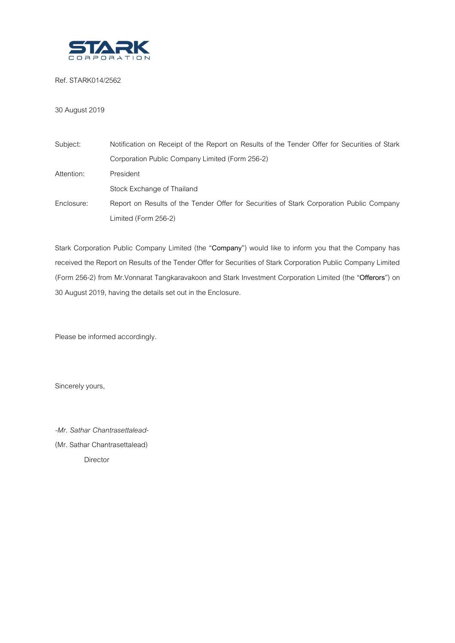

Ref. STARK014/2562

# 30 August 2019

| Subject:   | Notification on Receipt of the Report on Results of the Tender Offer for Securities of Stark |  |  |  |
|------------|----------------------------------------------------------------------------------------------|--|--|--|
|            | Corporation Public Company Limited (Form 256-2)                                              |  |  |  |
| Attention: | President                                                                                    |  |  |  |
|            | Stock Exchange of Thailand                                                                   |  |  |  |
| Enclosure: | Report on Results of the Tender Offer for Securities of Stark Corporation Public Company     |  |  |  |
|            | Limited (Form 256-2)                                                                         |  |  |  |

Stark Corporation Public Company Limited (the "**Company**") would like to inform you that the Company has received the Report on Results of the Tender Offer for Securities of Stark Corporation Public Company Limited (Form 256-2) from Mr.Vonnarat Tangkaravakoon and Stark Investment Corporation Limited (the "**Offerors**") on 30 August 2019, having the details set out in the Enclosure.

Please be informed accordingly.

Sincerely yours,

*-Mr. Sathar Chantrasettalead-* (Mr. Sathar Chantrasettalead) Director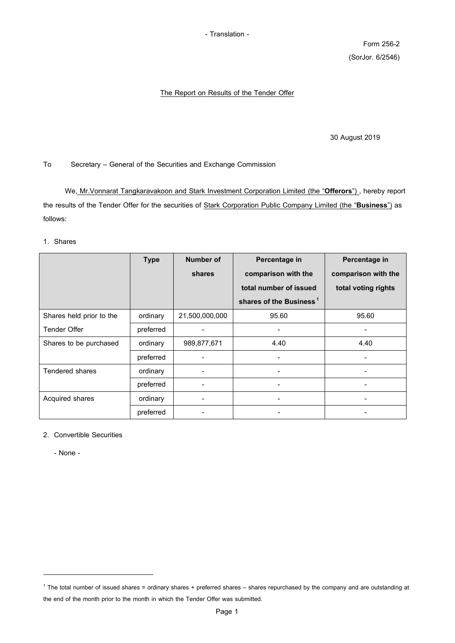- Translation -

Form 256-2 (SorJor. 6/2546)

## The Report on Results of the Tender Offer

30 August 2019

To Secretary – General of the Securities and Exchange Commission

We, Mr.Vonnarat Tangkaravakoon and Stark Investment Corporation Limited (the "**Offerors**") , hereby report the results of the Tender Offer for the securities of Stark Corporation Public Company Limited (the "**Business**") as follows:

#### 1. Shares

|                          | <b>Type</b> | <b>Number of</b> | Percentage in                       | Percentage in       |
|--------------------------|-------------|------------------|-------------------------------------|---------------------|
|                          |             | shares           | comparison with the                 | comparison with the |
|                          |             |                  | total number of issued              | total voting rights |
|                          |             |                  | shares of the Business <sup>1</sup> |                     |
| Shares held prior to the | ordinary    | 21,500,000,000   | 95.60                               | 95.60               |
| <b>Tender Offer</b>      | preferred   |                  |                                     |                     |
| Shares to be purchased   | ordinary    | 989,877,671      | 4.40                                | 4.40                |
|                          | preferred   |                  |                                     | ٠                   |
| <b>Tendered shares</b>   | ordinary    |                  |                                     | ٠                   |
|                          | preferred   |                  |                                     | ۰                   |
| Acquired shares          | ordinary    |                  |                                     |                     |
|                          | preferred   |                  |                                     |                     |

2. Convertible Securities

- None -

-

 $1$  The total number of issued shares = ordinary shares + preferred shares – shares repurchased by the company and are outstanding at the end of the month prior to the month in which the Tender Offer was submitted.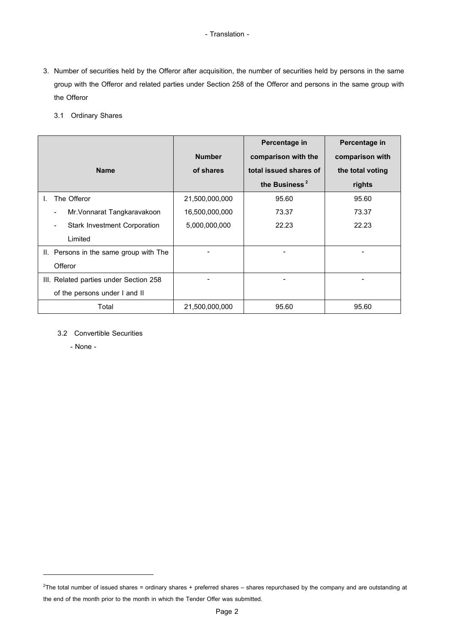### - Translation -

- 3. Number of securities held by the Offeror after acquisition, the number of securities held by persons in the same group with the Offeror and related parties under Section 258 of the Offeror and persons in the same group with the Offeror
	- 3.1 Ordinary Shares

|                                               |                | Percentage in             | Percentage in    |
|-----------------------------------------------|----------------|---------------------------|------------------|
|                                               | <b>Number</b>  | comparison with the       | comparison with  |
| <b>Name</b>                                   | of shares      | total issued shares of    | the total voting |
|                                               |                | the Business <sup>2</sup> | rights           |
| The Offeror                                   | 21,500,000,000 | 95.60                     | 95.60            |
| Mr. Vonnarat Tangkaravakoon<br>$\blacksquare$ | 16,500,000,000 | 73.37                     | 73.37            |
| <b>Stark Investment Corporation</b>           | 5,000,000,000  | 22.23                     | 22.23            |
| Limited                                       |                |                           |                  |
| II. Persons in the same group with The        |                |                           |                  |
| Offeror                                       |                |                           |                  |
| III. Related parties under Section 258        |                | ۰                         |                  |
| of the persons under I and II                 |                |                           |                  |
| Total                                         | 21,500,000,000 | 95.60                     | 95.60            |

# 3.2 Convertible Securities

- None -

-

 $2$ The total number of issued shares = ordinary shares + preferred shares – shares repurchased by the company and are outstanding at the end of the month prior to the month in which the Tender Offer was submitted.